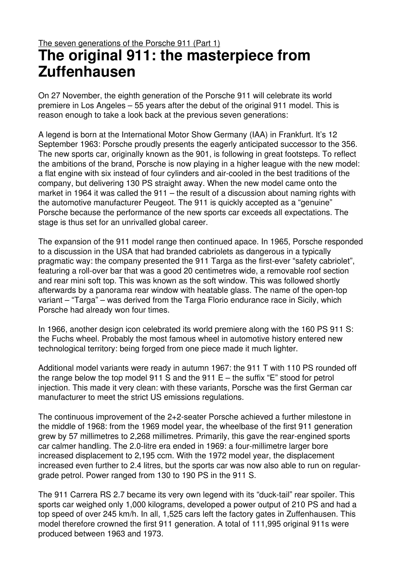## The seven generations of the Porsche 911 (Part 1) **The original 911: the masterpiece from Zuffenhausen**

On 27 November, the eighth generation of the Porsche 911 will celebrate its world premiere in Los Angeles – 55 years after the debut of the original 911 model. This is reason enough to take a look back at the previous seven generations:

A legend is born at the International Motor Show Germany (IAA) in Frankfurt. It's 12 September 1963: Porsche proudly presents the eagerly anticipated successor to the 356. The new sports car, originally known as the 901, is following in great footsteps. To reflect the ambitions of the brand, Porsche is now playing in a higher league with the new model: a flat engine with six instead of four cylinders and air-cooled in the best traditions of the company, but delivering 130 PS straight away. When the new model came onto the market in 1964 it was called the 911 – the result of a discussion about naming rights with the automotive manufacturer Peugeot. The 911 is quickly accepted as a "genuine" Porsche because the performance of the new sports car exceeds all expectations. The stage is thus set for an unrivalled global career.

The expansion of the 911 model range then continued apace. In 1965, Porsche responded to a discussion in the USA that had branded cabriolets as dangerous in a typically pragmatic way: the company presented the 911 Targa as the first-ever "safety cabriolet", featuring a roll-over bar that was a good 20 centimetres wide, a removable roof section and rear mini soft top. This was known as the soft window. This was followed shortly afterwards by a panorama rear window with heatable glass. The name of the open-top variant – "Targa" – was derived from the Targa Florio endurance race in Sicily, which Porsche had already won four times.

In 1966, another design icon celebrated its world premiere along with the 160 PS 911 S: the Fuchs wheel. Probably the most famous wheel in automotive history entered new technological territory: being forged from one piece made it much lighter.

Additional model variants were ready in autumn 1967: the 911 T with 110 PS rounded off the range below the top model 911 S and the 911  $E$  – the suffix "E" stood for petrol injection. This made it very clean: with these variants, Porsche was the first German car manufacturer to meet the strict US emissions regulations.

The continuous improvement of the 2+2-seater Porsche achieved a further milestone in the middle of 1968: from the 1969 model year, the wheelbase of the first 911 generation grew by 57 millimetres to 2,268 millimetres. Primarily, this gave the rear-engined sports car calmer handling. The 2.0-litre era ended in 1969: a four-millimetre larger bore increased displacement to 2,195 ccm. With the 1972 model year, the displacement increased even further to 2.4 litres, but the sports car was now also able to run on regulargrade petrol. Power ranged from 130 to 190 PS in the 911 S.

The 911 Carrera RS 2.7 became its very own legend with its "duck-tail" rear spoiler. This sports car weighed only 1,000 kilograms, developed a power output of 210 PS and had a top speed of over 245 km/h. In all, 1,525 cars left the factory gates in Zuffenhausen. This model therefore crowned the first 911 generation. A total of 111,995 original 911s were produced between 1963 and 1973.